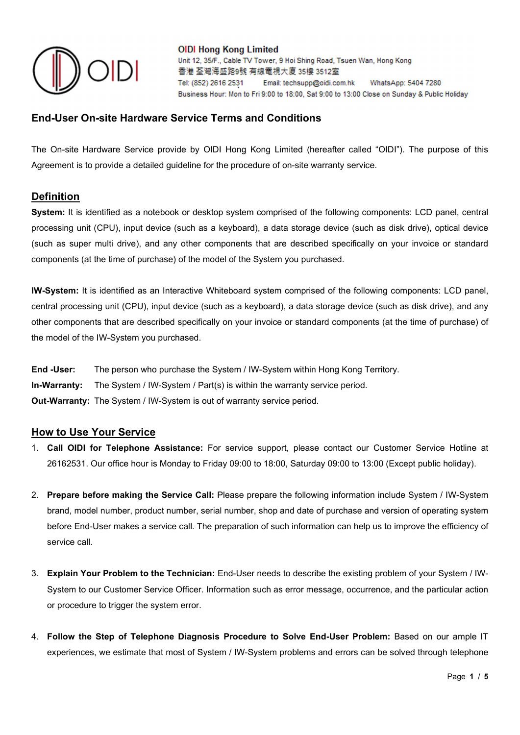

**OIDI Hong Kong Limited** Unit 12, 35/F., Cable TV Tower, 9 Hoi Shing Road, Tsuen Wan, Hong Kong 香港 荃灣海盛路9號 有線電視大廈 35樓 3512室 Tel: (852) 2616 2531 Email: techsupp@oidi.com.hk WhatsApp: 5404 7280 Business Hour: Mon to Fri 9:00 to 18:00, Sat 9:00 to 13:00 Close on Sunday & Public Holiday

# End-User On-site Hardware Service Terms and Conditions

The On-site Hardware Service provide by OIDI Hong Kong Limited (hereafter called "OIDI"). The purpose of this Agreement is to provide a detailed guideline for the procedure of on-site warranty service.

## Definition

System: It is identified as a notebook or desktop system comprised of the following components: LCD panel, central processing unit (CPU), input device (such as a keyboard), a data storage device (such as disk drive), optical device (such as super multi drive), and any other components that are described specifically on your invoice or standard components (at the time of purchase) of the model of the System you purchased.

IW-System: It is identified as an Interactive Whiteboard system comprised of the following components: LCD panel, central processing unit (CPU), input device (such as a keyboard), a data storage device (such as disk drive), and any other components that are described specifically on your invoice or standard components (at the time of purchase) of the model of the IW-System you purchased.

End -User: The person who purchase the System / IW-System within Hong Kong Territory. In-Warranty: The System / IW-System / Part(s) is within the warranty service period. Out-Warranty: The System / IW-System is out of warranty service period.

## How to Use Your Service

- 1. Call OIDI for Telephone Assistance: For service support, please contact our Customer Service Hotline at 26162531. Our office hour is Monday to Friday 09:00 to 18:00, Saturday 09:00 to 13:00 (Except public holiday).
- 2. Prepare before making the Service Call: Please prepare the following information include System / IW-System brand, model number, product number, serial number, shop and date of purchase and version of operating system before End-User makes a service call. The preparation of such information can help us to improve the efficiency of service call.
- 3. Explain Your Problem to the Technician: End-User needs to describe the existing problem of your System / IW-System to our Customer Service Officer. Information such as error message, occurrence, and the particular action or procedure to trigger the system error.
- 4. Follow the Step of Telephone Diagnosis Procedure to Solve End-User Problem: Based on our ample IT experiences, we estimate that most of System / IW-System problems and errors can be solved through telephone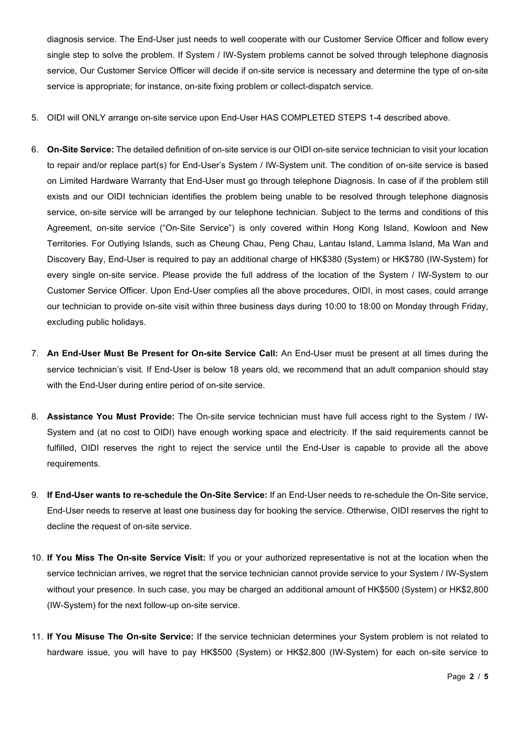diagnosis service. The End-User just needs to well cooperate with our Customer Service Officer and follow every single step to solve the problem. If System / IW-System problems cannot be solved through telephone diagnosis service, Our Customer Service Officer will decide if on-site service is necessary and determine the type of on-site service is appropriate; for instance, on-site fixing problem or collect-dispatch service.

- 5. OIDI will ONLY arrange on-site service upon End-User HAS COMPLETED STEPS 1-4 described above.
- 6. On-Site Service: The detailed definition of on-site service is our OIDI on-site service technician to visit your location to repair and/or replace part(s) for End-User's System / IW-System unit. The condition of on-site service is based on Limited Hardware Warranty that End-User must go through telephone Diagnosis. In case of if the problem still exists and our OIDI technician identifies the problem being unable to be resolved through telephone diagnosis service, on-site service will be arranged by our telephone technician. Subject to the terms and conditions of this Agreement, on-site service ("On-Site Service") is only covered within Hong Kong Island, Kowloon and New Territories. For Outlying Islands, such as Cheung Chau, Peng Chau, Lantau Island, Lamma Island, Ma Wan and Discovery Bay, End-User is required to pay an additional charge of HK\$380 (System) or HK\$780 (IW-System) for every single on-site service. Please provide the full address of the location of the System / IW-System to our Customer Service Officer. Upon End-User complies all the above procedures, OIDI, in most cases, could arrange our technician to provide on-site visit within three business days during 10:00 to 18:00 on Monday through Friday, excluding public holidays.
- 7. An End-User Must Be Present for On-site Service Call: An End-User must be present at all times during the service technician's visit. If End-User is below 18 years old, we recommend that an adult companion should stay with the End-User during entire period of on-site service.
- 8. Assistance You Must Provide: The On-site service technician must have full access right to the System / IW-System and (at no cost to OIDI) have enough working space and electricity. If the said requirements cannot be fulfilled, OIDI reserves the right to reject the service until the End-User is capable to provide all the above requirements.
- 9. If End-User wants to re-schedule the On-Site Service: If an End-User needs to re-schedule the On-Site service, End-User needs to reserve at least one business day for booking the service. Otherwise, OIDI reserves the right to decline the request of on-site service.
- 10. If You Miss The On-site Service Visit: If you or your authorized representative is not at the location when the service technician arrives, we regret that the service technician cannot provide service to your System / IW-System without your presence. In such case, you may be charged an additional amount of HK\$500 (System) or HK\$2,800 (IW-System) for the next follow-up on-site service.
- 11. If You Misuse The On-site Service: If the service technician determines your System problem is not related to hardware issue, you will have to pay HK\$500 (System) or HK\$2,800 (IW-System) for each on-site service to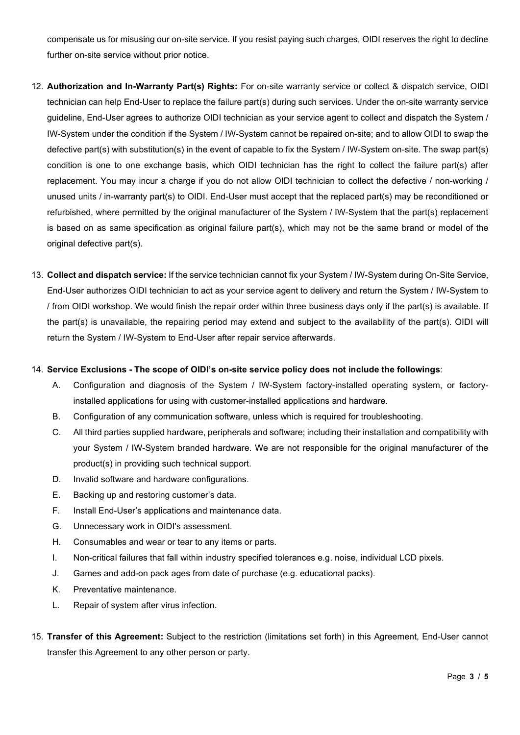compensate us for misusing our on-site service. If you resist paying such charges, OIDI reserves the right to decline further on-site service without prior notice.

- 12. Authorization and In-Warranty Part(s) Rights: For on-site warranty service or collect & dispatch service, OIDI technician can help End-User to replace the failure part(s) during such services. Under the on-site warranty service guideline, End-User agrees to authorize OIDI technician as your service agent to collect and dispatch the System / IW-System under the condition if the System / IW-System cannot be repaired on-site; and to allow OIDI to swap the defective part(s) with substitution(s) in the event of capable to fix the System / IW-System on-site. The swap part(s) condition is one to one exchange basis, which OIDI technician has the right to collect the failure part(s) after replacement. You may incur a charge if you do not allow OIDI technician to collect the defective / non-working / unused units / in-warranty part(s) to OIDI. End-User must accept that the replaced part(s) may be reconditioned or refurbished, where permitted by the original manufacturer of the System / IW-System that the part(s) replacement is based on as same specification as original failure part(s), which may not be the same brand or model of the original defective part(s).
- 13. Collect and dispatch service: If the service technician cannot fix your System / IW-System during On-Site Service, End-User authorizes OIDI technician to act as your service agent to delivery and return the System / IW-System to / from OIDI workshop. We would finish the repair order within three business days only if the part(s) is available. If the part(s) is unavailable, the repairing period may extend and subject to the availability of the part(s). OIDI will return the System / IW-System to End-User after repair service afterwards.

#### 14. Service Exclusions - The scope of OIDI's on-site service policy does not include the followings:

- A. Configuration and diagnosis of the System / IW-System factory-installed operating system, or factoryinstalled applications for using with customer-installed applications and hardware.
- B. Configuration of any communication software, unless which is required for troubleshooting.
- C. All third parties supplied hardware, peripherals and software; including their installation and compatibility with your System / IW-System branded hardware. We are not responsible for the original manufacturer of the product(s) in providing such technical support.
- D. Invalid software and hardware configurations.
- E. Backing up and restoring customer's data.
- F. Install End-User's applications and maintenance data.
- G. Unnecessary work in OIDI's assessment.
- H. Consumables and wear or tear to any items or parts.
- I. Non-critical failures that fall within industry specified tolerances e.g. noise, individual LCD pixels.
- J. Games and add-on pack ages from date of purchase (e.g. educational packs).
- K. Preventative maintenance.
- L. Repair of system after virus infection.
- 15. Transfer of this Agreement: Subject to the restriction (limitations set forth) in this Agreement, End-User cannot transfer this Agreement to any other person or party.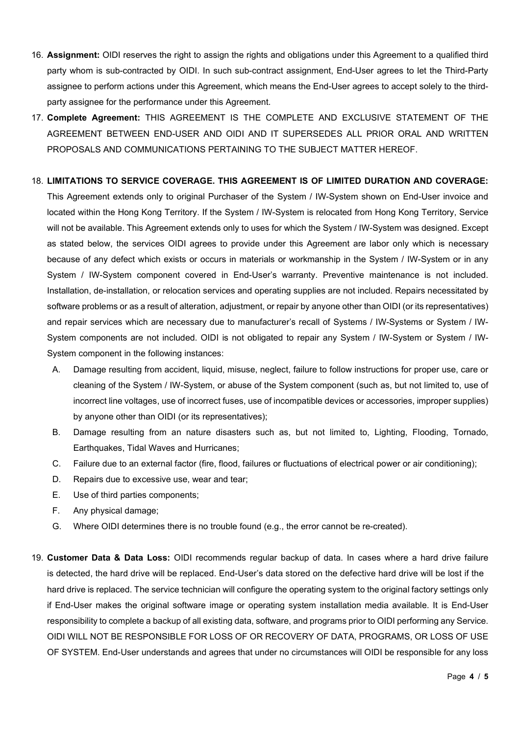- 16. Assignment: OIDI reserves the right to assign the rights and obligations under this Agreement to a qualified third party whom is sub-contracted by OIDI. In such sub-contract assignment, End-User agrees to let the Third-Party assignee to perform actions under this Agreement, which means the End-User agrees to accept solely to the thirdparty assignee for the performance under this Agreement.
- 17. Complete Agreement: THIS AGREEMENT IS THE COMPLETE AND EXCLUSIVE STATEMENT OF THE AGREEMENT BETWEEN END-USER AND OIDI AND IT SUPERSEDES ALL PRIOR ORAL AND WRITTEN PROPOSALS AND COMMUNICATIONS PERTAINING TO THE SUBJECT MATTER HEREOF.

#### 18. LIMITATIONS TO SERVICE COVERAGE. THIS AGREEMENT IS OF LIMITED DURATION AND COVERAGE:

This Agreement extends only to original Purchaser of the System / IW-System shown on End-User invoice and located within the Hong Kong Territory. If the System / IW-System is relocated from Hong Kong Territory, Service will not be available. This Agreement extends only to uses for which the System / IW-System was designed. Except as stated below, the services OIDI agrees to provide under this Agreement are labor only which is necessary because of any defect which exists or occurs in materials or workmanship in the System / IW-System or in any System / IW-System component covered in End-User's warranty. Preventive maintenance is not included. Installation, de-installation, or relocation services and operating supplies are not included. Repairs necessitated by software problems or as a result of alteration, adjustment, or repair by anyone other than OIDI (or its representatives) and repair services which are necessary due to manufacturer's recall of Systems / IW-Systems or System / IW-System components are not included. OIDI is not obligated to repair any System / IW-System or System / IW-System component in the following instances:

- A. Damage resulting from accident, liquid, misuse, neglect, failure to follow instructions for proper use, care or cleaning of the System / IW-System, or abuse of the System component (such as, but not limited to, use of incorrect line voltages, use of incorrect fuses, use of incompatible devices or accessories, improper supplies) by anyone other than OIDI (or its representatives);
- B. Damage resulting from an nature disasters such as, but not limited to, Lighting, Flooding, Tornado, Earthquakes, Tidal Waves and Hurricanes;
- C. Failure due to an external factor (fire, flood, failures or fluctuations of electrical power or air conditioning);
- D. Repairs due to excessive use, wear and tear;
- E. Use of third parties components;
- F. Any physical damage;
- G. Where OIDI determines there is no trouble found (e.g., the error cannot be re-created).
- 19. Customer Data & Data Loss: OIDI recommends regular backup of data. In cases where a hard drive failure is detected, the hard drive will be replaced. End-User's data stored on the defective hard drive will be lost if the hard drive is replaced. The service technician will configure the operating system to the original factory settings only if End-User makes the original software image or operating system installation media available. It is End-User responsibility to complete a backup of all existing data, software, and programs prior to OIDI performing any Service. OIDI WILL NOT BE RESPONSIBLE FOR LOSS OF OR RECOVERY OF DATA, PROGRAMS, OR LOSS OF USE OF SYSTEM. End-User understands and agrees that under no circumstances will OIDI be responsible for any loss